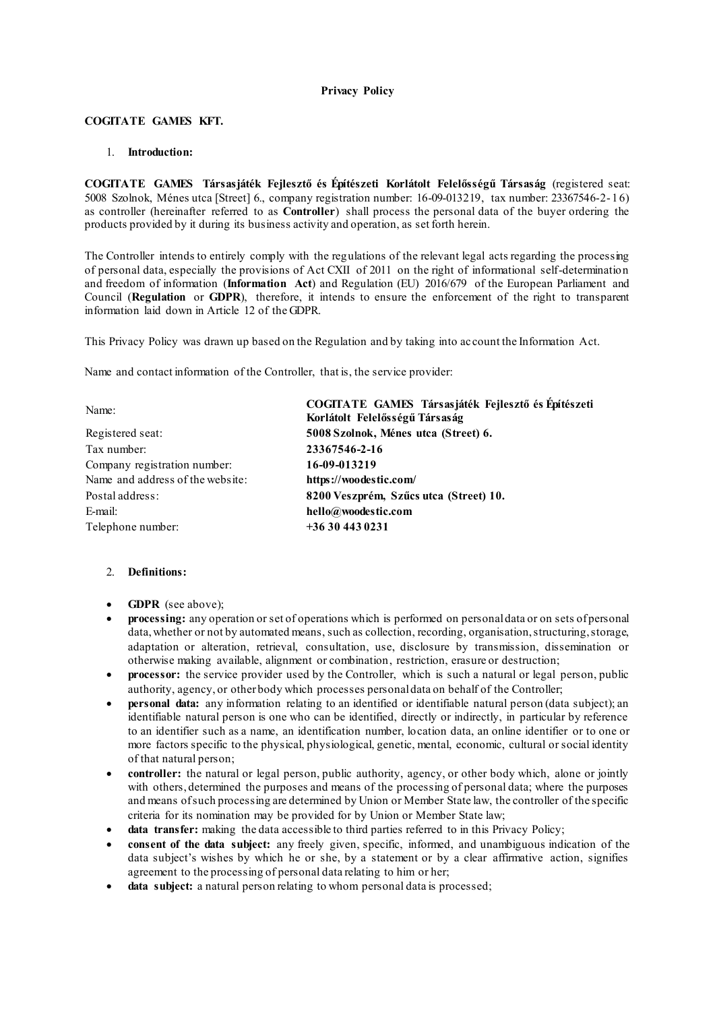# **Privacy Policy**

## **COGITATE GAMES KFT.**

## 1. **Introduction:**

**COGITATE GAMES Társasjáték Fejlesztő és Építészeti Korlátolt Felelősségű Társaság** (registered seat: 5008 Szolnok, Ménes utca [Street] 6., company registration number: 16-09-013219, tax number: 23367546-2- 16) as controller (hereinafter referred to as **Controller**) shall process the personal data of the buyer ordering the products provided by it during its business activity and operation, as set forth herein.

The Controller intends to entirely comply with the regulations of the relevant legal acts regarding the processing of personal data, especially the provisions of Act CXII of 2011 on the right of informational self-determination and freedom of information (**Information Act**) and Regulation (EU) 2016/679 of the European Parliament and Council (**Regulation** or **GDPR**), therefore, it intends to ensure the enforcement of the right to transparent information laid down in Article 12 of the GDPR.

This Privacy Policy was drawn up based on the Regulation and by taking into account the Information Act.

Name and contact information of the Controller, that is, the service provider:

| Name:                            | COGITATE GAMES Társasjáték Fejlesztő és Építészeti<br>Korlátolt Felelősségű Társaság |
|----------------------------------|--------------------------------------------------------------------------------------|
| Registered seat:                 | 5008 Szolnok, Ménes utca (Street) 6.                                                 |
| Tax number:                      | 23367546-2-16                                                                        |
| Company registration number:     | 16-09-013219                                                                         |
| Name and address of the website: | https://woodestic.com/                                                               |
| Postal address:                  | 8200 Veszprém, Szűcs utca (Street) 10.                                               |
| E-mail:                          | hello@woodestic.com                                                                  |
| Telephone number:                | $+36304430231$                                                                       |

# 2. **Definitions:**

- **GDPR** (see above);
- **processing:** any operation or set of operations which is performed on personal data or on sets of personal data, whether or not by automated means, such as collection, recording, organisation, structuring, storage, adaptation or alteration, retrieval, consultation, use, disclosure by transmission, dissemination or otherwise making available, alignment or combination, restriction, erasure or destruction;
- **processor:** the service provider used by the Controller, which is such a natural or legal person, public authority, agency, or other body which processes personal data on behalf of the Controller;
- **personal data:** any information relating to an identified or identifiable natural person (data subject); an identifiable natural person is one who can be identified, directly or indirectly, in particular by reference to an identifier such as a name, an identification number, location data, an online identifier or to one or more factors specific to the physical, physiological, genetic, mental, economic, cultural or social identity of that natural person;
- **controller:** the natural or legal person, public authority, agency, or other body which, alone or jointly with others, determined the purposes and means of the processing of personal data; where the purposes and means of such processing are determined by Union or Member State law, the controller of the specific criteria for its nomination may be provided for by Union or Member State law;
- **data transfer:** making the data accessible to third parties referred to in this Privacy Policy;
- **consent of the data subject:** any freely given, specific, informed, and unambiguous indication of the data subject's wishes by which he or she, by a statement or by a clear affirmative action, signifies agreement to the processing of personal data relating to him or her;
- **data subject:** a natural person relating to whom personal data is processed;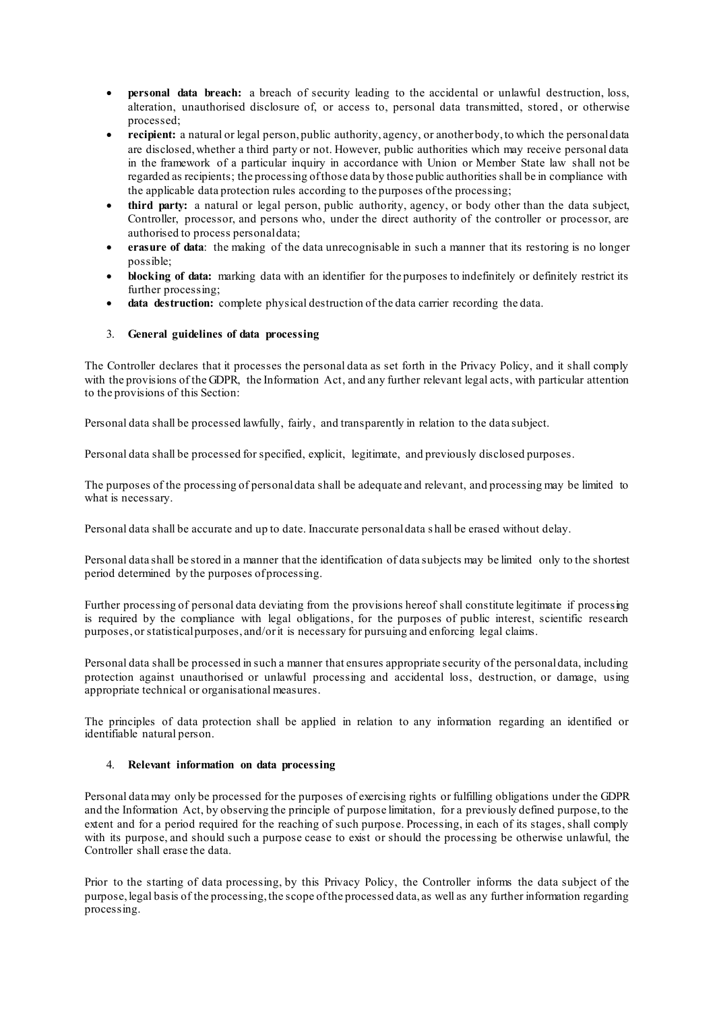- **personal data breach:** a breach of security leading to the accidental or unlawful destruction, loss, alteration, unauthorised disclosure of, or access to, personal data transmitted, stored , or otherwise processed;
- **recipient:** a natural or legal person, public authority, agency, or another body, to which the personal data are disclosed, whether a third party or not. However, public authorities which may receive personal data in the framework of a particular inquiry in accordance with Union or Member State law shall not be regarded as recipients; the processing of those data by those public authorities shall be in compliance with the applicable data protection rules according to the purposes of the processing;
- **third party:** a natural or legal person, public authority, agency, or body other than the data subject, Controller, processor, and persons who, under the direct authority of the controller or processor, are authorised to process personal data;
- **erasure of data**: the making of the data unrecognisable in such a manner that its restoring is no longer possible;
- **blocking of data:** marking data with an identifier for the purposes to indefinitely or definitely restrict its further processing;
- **data destruction:** complete physical destruction of the data carrier recording the data.

# 3. **General guidelines of data processing**

The Controller declares that it processes the personal data as set forth in the Privacy Policy, and it shall comply with the provisions of the GDPR, the Information Act, and any further relevant legal acts, with particular attention to the provisions of this Section:

Personal data shall be processed lawfully, fairly, and transparently in relation to the data subject.

Personal data shall be processed for specified, explicit, legitimate, and previously disclosed purposes.

The purposes of the processing of personal data shall be adequate and relevant, and processing may be limited to what is necessary.

Personal data shall be accurate and up to date. Inaccurate personal data s hall be erased without delay.

Personal data shall be stored in a manner that the identification of data subjects may be limited only to the shortest period determined by the purposes of processing.

Further processing of personal data deviating from the provisions hereof shall constitute legitimate if processing is required by the compliance with legal obligations, for the purposes of public interest, scientific research purposes, or statistical purposes, and/or it is necessary for pursuing and enforcing legal claims.

Personal data shall be processed in such a manner that ensures appropriate security of the personal data, including protection against unauthorised or unlawful processing and accidental loss, destruction, or damage, using appropriate technical or organisational measures.

The principles of data protection shall be applied in relation to any information regarding an identified or identifiable natural person.

#### 4. **Relevant information on data processing**

Personal data may only be processed for the purposes of exercising rights or fulfilling obligations under the GDPR and the Information Act, by observing the principle of purpose limitation, for a previously defined purpose, to the extent and for a period required for the reaching of such purpose. Processing, in each of its stages, shall comply with its purpose, and should such a purpose cease to exist or should the processing be otherwise unlawful, the Controller shall erase the data.

Prior to the starting of data processing, by this Privacy Policy, the Controller informs the data subject of the purpose, legal basis of the processing, the scope of the processed data, as well as any further information regarding processing.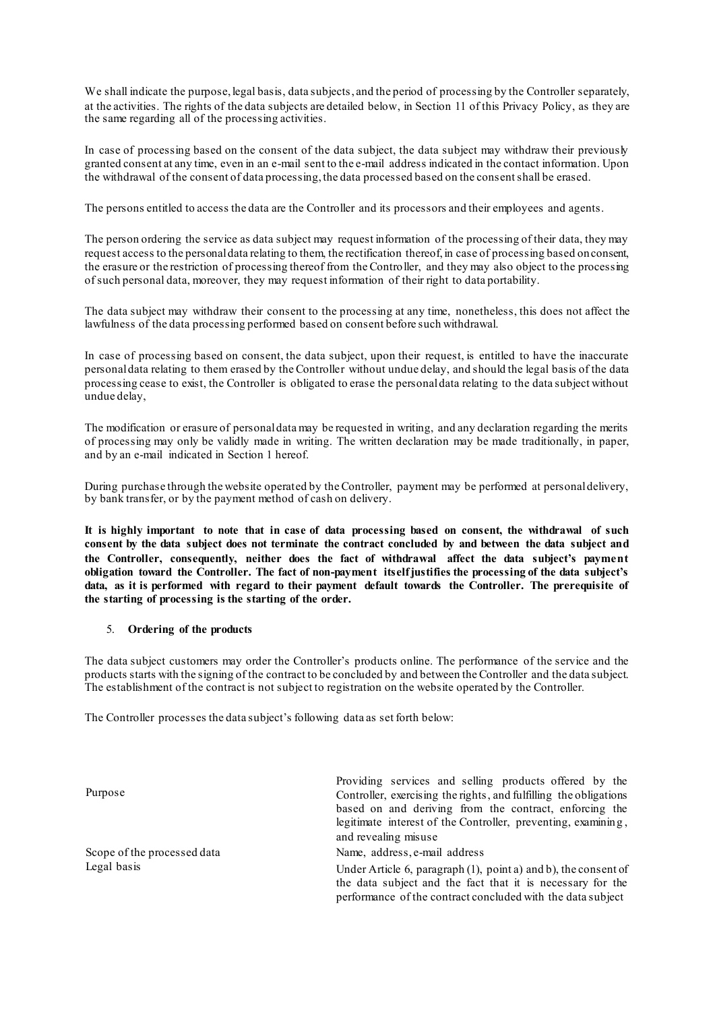We shall indicate the purpose, legal basis, data subjects, and the period of processing by the Controller separately, at the activities. The rights of the data subjects are detailed below, in Section 11 of this Privacy Policy, as they are the same regarding all of the processing activities.

In case of processing based on the consent of the data subject, the data subject may withdraw their previously granted consent at any time, even in an e-mail sent to the e-mail address indicated in the contact information. Upon the withdrawal of the consent of data processing, the data processed based on the consent shall be erased.

The persons entitled to access the data are the Controller and its processors and their employees and agents.

The person ordering the service as data subject may request information of the processing of their data, they may request access to the personal data relating to them, the rectification thereof, in case of processing based on consent, the erasure or the restriction of processing thereof from the Controller, and they may also object to the processing of such personal data, moreover, they may request information of their right to data portability.

The data subject may withdraw their consent to the processing at any time, nonetheless, this does not affect the lawfulness of the data processing performed based on consent before such withdrawal.

In case of processing based on consent, the data subject, upon their request, is entitled to have the inaccurate personal data relating to them erased by the Controller without undue delay, and should the legal basis of the data processing cease to exist, the Controller is obligated to erase the personal data relating to the data subject without undue delay,

The modification or erasure of personal data may be requested in writing, and any declaration regarding the merits of processing may only be validly made in writing. The written declaration may be made traditionally, in paper, and by an e-mail indicated in Section 1 hereof.

During purchase through the website operated by the Controller, payment may be performed at personal delivery, by bank transfer, or by the payment method of cash on delivery.

**It is highly important to note that in case of data processing based on consent, the withdrawal of such consent by the data subject does not terminate the contract concluded by and between the data subject and the Controller, consequently, neither does the fact of withdrawal affect the data subject's payment obligation toward the Controller. The fact of non-payment itself justifies the processing of the data subject's data, as it is performed with regard to their payment default towards the Controller. The prerequisite of the starting of processing is the starting of the order.**

# 5. **Ordering of the products**

The data subject customers may order the Controller's products online. The performance of the service and the products starts with the signing of the contract to be concluded by and between the Controller and the data subject. The establishment of the contract is not subject to registration on the website operated by the Controller.

The Controller processes the data subject's following data as set forth below:

| Providing services and selling products offered by the                                                                                                                                       |
|----------------------------------------------------------------------------------------------------------------------------------------------------------------------------------------------|
| Controller, exercising the rights, and fulfilling the obligations                                                                                                                            |
| based on and deriving from the contract, enforcing the                                                                                                                                       |
| legitimate interest of the Controller, preventing, examining,                                                                                                                                |
| and revealing misuse                                                                                                                                                                         |
| Name, address, e-mail address                                                                                                                                                                |
| Under Article 6, paragraph (1), point a) and b), the consent of<br>the data subject and the fact that it is necessary for the<br>performance of the contract concluded with the data subject |
|                                                                                                                                                                                              |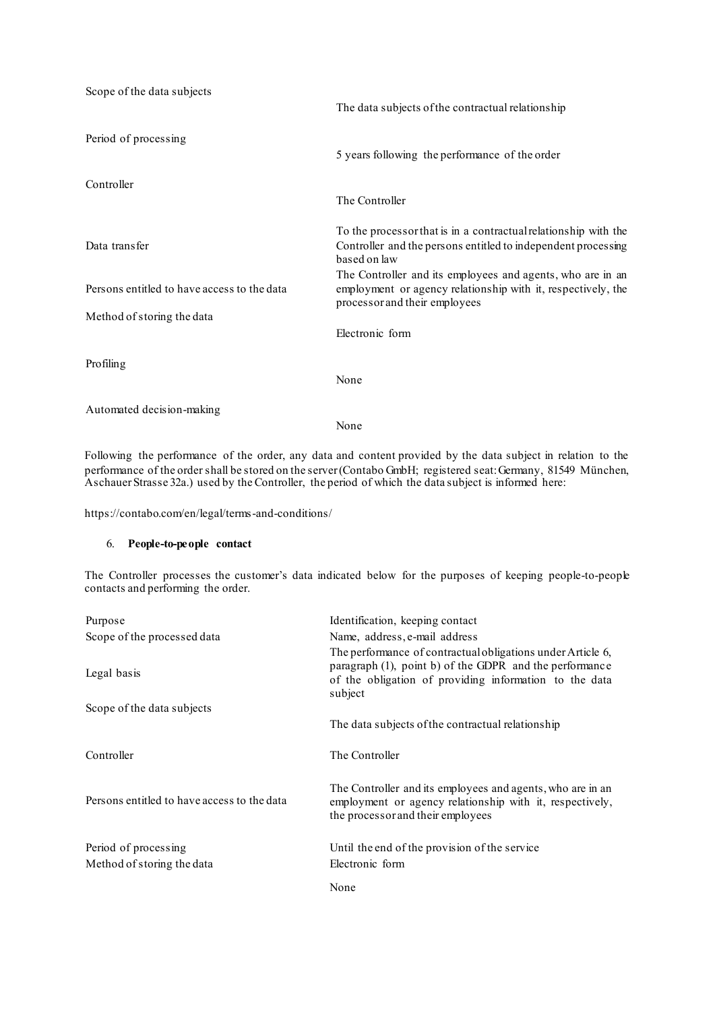| Scope of the data subjects                  | The data subjects of the contractual relationship                                                                                                           |
|---------------------------------------------|-------------------------------------------------------------------------------------------------------------------------------------------------------------|
| Period of processing                        | 5 years following the performance of the order                                                                                                              |
| Controller                                  | The Controller                                                                                                                                              |
| Data transfer                               | To the processor that is in a contractual relationship with the<br>Controller and the persons entitled to independent processing<br>based on law            |
| Persons entitled to have access to the data | The Controller and its employees and agents, who are in an<br>employment or agency relationship with it, respectively, the<br>processor and their employees |
| Method of storing the data                  | Electronic form                                                                                                                                             |
| Profiling                                   | None                                                                                                                                                        |
| Automated decision-making                   | None                                                                                                                                                        |
|                                             |                                                                                                                                                             |

Following the performance of the order, any data and content provided by the data subject in relation to the performance of the order shall be stored on the server (Contabo GmbH; registered seat: Germany, 81549 München, Aschauer Strasse 32a.) used by the Controller, the period of which the data subject is informed here:

https://contabo.com/en/legal/terms-and-conditions/

# 6. **People-to-people contact**

The Controller processes the customer's data indicated below for the purposes of keeping people-to-people contacts and performing the order.

| Purpose                                     | Identification, keeping contact                                                                                                                                                             |
|---------------------------------------------|---------------------------------------------------------------------------------------------------------------------------------------------------------------------------------------------|
| Scope of the processed data                 | Name, address, e-mail address                                                                                                                                                               |
| Legal basis                                 | The performance of contractual obligations under Article 6,<br>paragraph (1), point b) of the GDPR and the performance<br>of the obligation of providing information to the data<br>subject |
| Scope of the data subjects                  |                                                                                                                                                                                             |
|                                             | The data subjects of the contractual relationship                                                                                                                                           |
| Controller                                  | The Controller                                                                                                                                                                              |
| Persons entitled to have access to the data | The Controller and its employees and agents, who are in an<br>employment or agency relationship with it, respectively,<br>the processor and their employees                                 |
| Period of processing                        | Until the end of the provision of the service                                                                                                                                               |
| Method of storing the data                  | Electronic form                                                                                                                                                                             |
|                                             | None                                                                                                                                                                                        |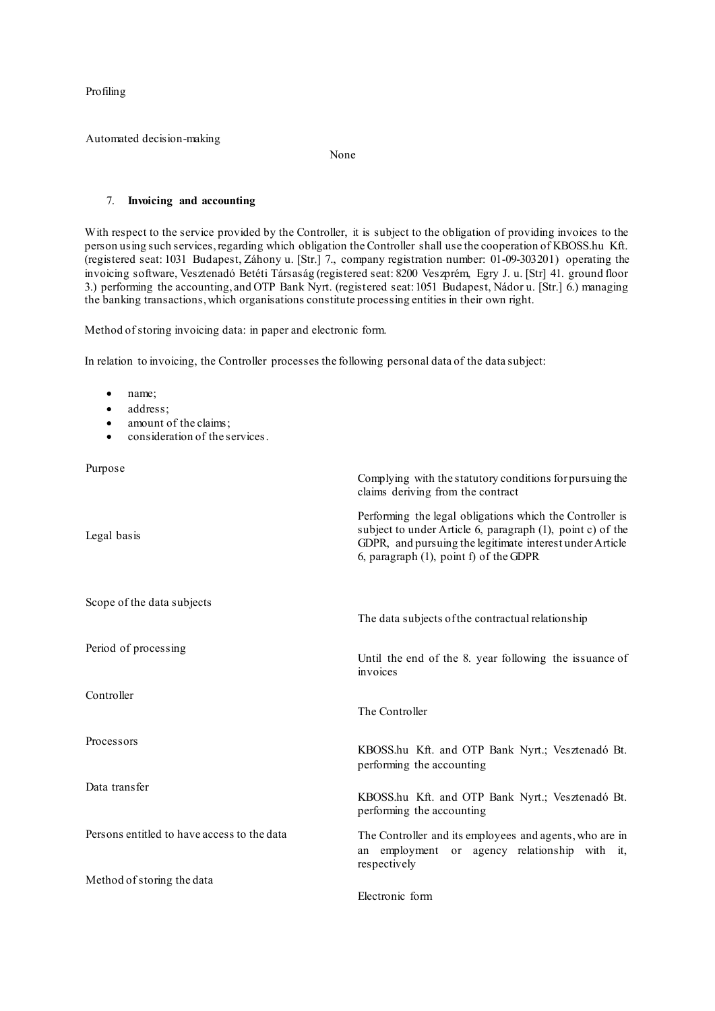Profiling

Automated decision-making

None

## 7. **Invoicing and accounting**

With respect to the service provided by the Controller, it is subject to the obligation of providing invoices to the person using such services, regarding which obligation the Controller shall use the cooperation of KBOSS.hu Kft. (registered seat: 1031 Budapest, Záhony u. [Str.] 7., company registration number: 01-09-303201) operating the invoicing software, Vesztenadó Betéti Társaság (registered seat: 8200 Veszprém, Egry J. u. [Str] 41. ground floor 3.) performing the accounting, and OTP Bank Nyrt. (registered seat: 1051 Budapest, Nádor u. [Str.] 6.) managing the banking transactions, which organisations constitute processing entities in their own right.

Method of storing invoicing data: in paper and electronic form.

In relation to invoicing, the Controller processes the following personal data of the data subject:

- name;
- address;
- amount of the claims;
- consideration of the services.

Purpose

| Purpose                                     | Complying with the statutory conditions for pursuing the<br>claims deriving from the contract                                                                                                                                |
|---------------------------------------------|------------------------------------------------------------------------------------------------------------------------------------------------------------------------------------------------------------------------------|
| Legal basis                                 | Performing the legal obligations which the Controller is<br>subject to under Article 6, paragraph (1), point c) of the<br>GDPR, and pursuing the legitimate interest under Article<br>6, paragraph (1), point f) of the GDPR |
| Scope of the data subjects                  | The data subjects of the contractual relationship                                                                                                                                                                            |
| Period of processing                        | Until the end of the 8. year following the issuance of<br>invoices                                                                                                                                                           |
| Controller                                  | The Controller                                                                                                                                                                                                               |
| Processors                                  | KBOSS.hu Kft. and OTP Bank Nyrt.; Vesztenadó Bt.<br>performing the accounting                                                                                                                                                |
| Data transfer                               | KBOSS.hu Kft. and OTP Bank Nyrt.; Vesztenadó Bt.<br>performing the accounting                                                                                                                                                |
| Persons entitled to have access to the data | The Controller and its employees and agents, who are in<br>employment or agency relationship with it,<br>an<br>respectively                                                                                                  |
| Method of storing the data                  |                                                                                                                                                                                                                              |
|                                             | Electronic form                                                                                                                                                                                                              |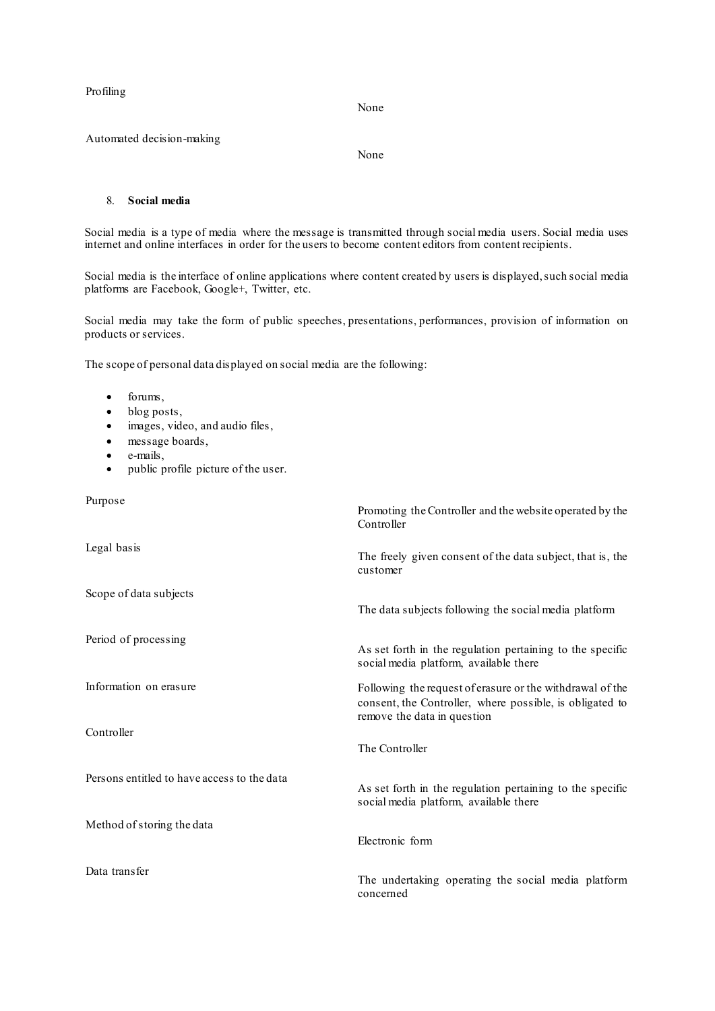Profiling

None

Automated decision-making

None

#### 8. **Social media**

Social media is a type of media where the message is transmitted through social media users. Social media uses internet and online interfaces in order for the users to become content editors from content recipients.

Social media is the interface of online applications where content created by users is displayed, such social media platforms are Facebook, Google+, Twitter, etc.

Social media may take the form of public speeches, presentations, performances, provision of information on products or services.

The scope of personal data displayed on social media are the following:

- forums,
- blog posts,
- $\bullet$  images, video, and audio files,
- message boards,
- e-mails,
- public profile picture of the user.

| Purpose                                     | Promoting the Controller and the website operated by the<br>Controller                                                                               |
|---------------------------------------------|------------------------------------------------------------------------------------------------------------------------------------------------------|
| Legal basis                                 | The freely given consent of the data subject, that is, the<br>customer                                                                               |
| Scope of data subjects                      | The data subjects following the social media platform                                                                                                |
| Period of processing                        | As set forth in the regulation pertaining to the specific<br>social media platform, available there                                                  |
| Information on erasure                      | Following the request of erasure or the withdrawal of the<br>consent, the Controller, where possible, is obligated to<br>remove the data in question |
| Controller                                  | The Controller                                                                                                                                       |
| Persons entitled to have access to the data | As set forth in the regulation pertaining to the specific<br>social media platform, available there                                                  |
| Method of storing the data                  | Electronic form                                                                                                                                      |
| Data transfer                               | The undertaking operating the social media platform<br>concerned                                                                                     |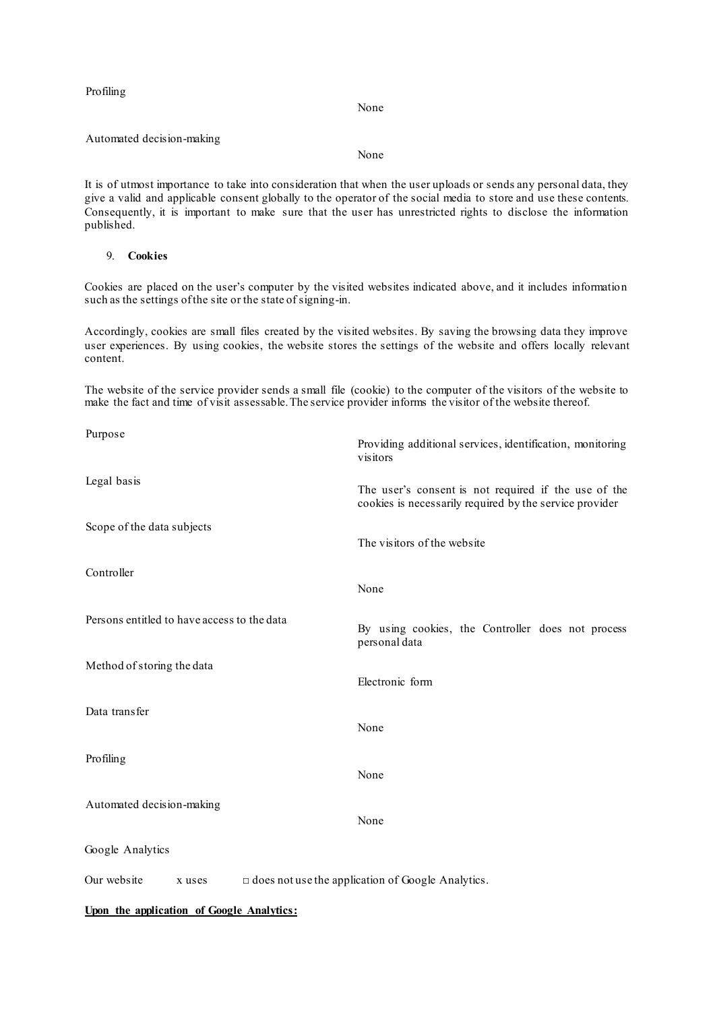Profiling

None

Automated decision-making

None

It is of utmost importance to take into consideration that when the user uploads or sends any personal data, they give a valid and applicable consent globally to the operator of the social media to store and use these contents. Consequently, it is important to make sure that the user has unrestricted rights to disclose the information published.

## 9. **Cookies**

Cookies are placed on the user's computer by the visited websites indicated above, and it includes information such as the settings of the site or the state of signing-in.

Accordingly, cookies are small files created by the visited websites. By saving the browsing data they improve user experiences. By using cookies, the website stores the settings of the website and offers locally relevant content.

The website of the service provider sends a small file (cookie) to the computer of the visitors of the website to make the fact and time of visit assessable. The service provider informs the visitor of the website thereof.

| Purpose                                     | Providing additional services, identification, monitoring<br>visitors                                           |
|---------------------------------------------|-----------------------------------------------------------------------------------------------------------------|
| Legal basis                                 | The user's consent is not required if the use of the<br>cookies is necessarily required by the service provider |
| Scope of the data subjects                  | The visitors of the website                                                                                     |
| Controller                                  | None                                                                                                            |
| Persons entitled to have access to the data | By using cookies, the Controller does not process<br>personal data                                              |
| Method of storing the data                  | Electronic form                                                                                                 |
| Data transfer                               | None                                                                                                            |
| Profiling                                   | None                                                                                                            |
| Automated decision-making                   | None                                                                                                            |
| Google Analytics                            |                                                                                                                 |
| Our website<br>x uses                       | $\Box$ does not use the application of Google Analytics.                                                        |

**Upon the application of Google Analytics:**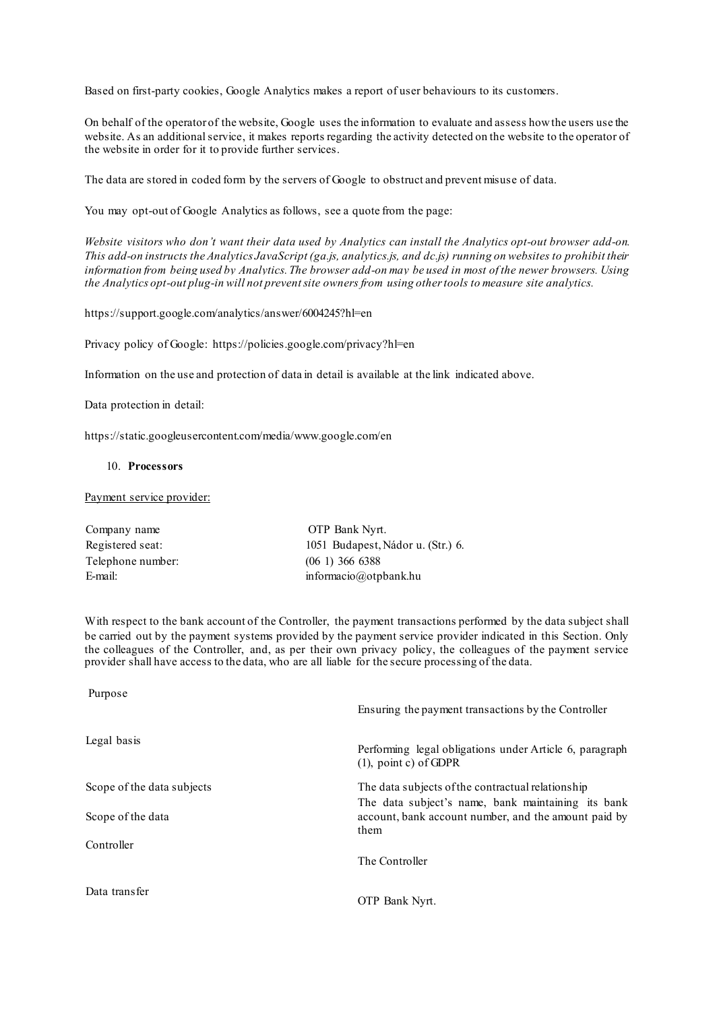Based on first-party cookies, Google Analytics makes a report of user behaviours to its customers.

On behalf of the operator of the website, Google uses the information to evaluate and assess how the users use the website. As an additional service, it makes reports regarding the activity detected on the website to the operator of the website in order for it to provide further services.

The data are stored in coded form by the servers of Google to obstruct and prevent misuse of data.

You may opt-out of Google Analytics as follows, see a quote from the page:

*Website visitors who don't want their data used by Analytics can install the [Analytics opt-out browser add-on.](https://tools.google.com/dlpage/gaoptout) This add-on instructs the Analytics JavaScript (ga.js, analytics.js, and dc.js) running on websites to prohibit their information from being used by Analytics. The browser add-on may be used in most of the newer browsers. Using the Analytics opt-out plug-in will not prevent site owners from using other tools to measure site analytics.*

<https://support.google.com/analytics/answer/6004245?hl=en>

Privacy policy of Google: https://policies.google.com/privacy?hl=en

Information on the use and protection of data in detail is available at the link indicated above.

Data protection in detail:

[https://static.googleusercontent.com/media/www.google.com/en](https://static.googleusercontent.com/media/www.google.com/en/intl/hu/policies/privacy/google_privacy_policy_hu.pdf)

# 10. **[Processors](https://static.googleusercontent.com/media/www.google.com/en/intl/hu/policies/privacy/google_privacy_policy_hu.pdf)**

#### [Payment service provider:](https://static.googleusercontent.com/media/www.google.com/en/intl/hu/policies/privacy/google_privacy_policy_hu.pdf)

| Company name      | OTP Bank Nyrt.                    |
|-------------------|-----------------------------------|
| Registered seat:  | 1051 Budapest, Nádor u. (Str.) 6. |
| Telephone number: | $(06\ 1)$ 366 6388                |
| E-mail:           | informacio@otpbank.hu             |

With respect to the bank account of the Controller, the payment transactions performed by the data subject shall be carried out by the payment systems provided by the payment service provider indicated in this Section. Only the colleagues of the Controller, and, as per their own privacy policy, the colleagues of the payment service provider shall have access to the data, who are all liable for the secure processing of the data.

| Purpose                    | Ensuring the payment transactions by the Controller                                                                |
|----------------------------|--------------------------------------------------------------------------------------------------------------------|
| Legal basis                | Performing legal obligations under Article 6, paragraph<br>$(1)$ , point c) of GDPR                                |
| Scope of the data subjects | The data subjects of the contractual relationship                                                                  |
| Scope of the data          | The data subject's name, bank maintaining its bank<br>account, bank account number, and the amount paid by<br>them |
| Controller                 |                                                                                                                    |
|                            | The Controller                                                                                                     |
| Data transfer              | OTP Bank Nyrt.                                                                                                     |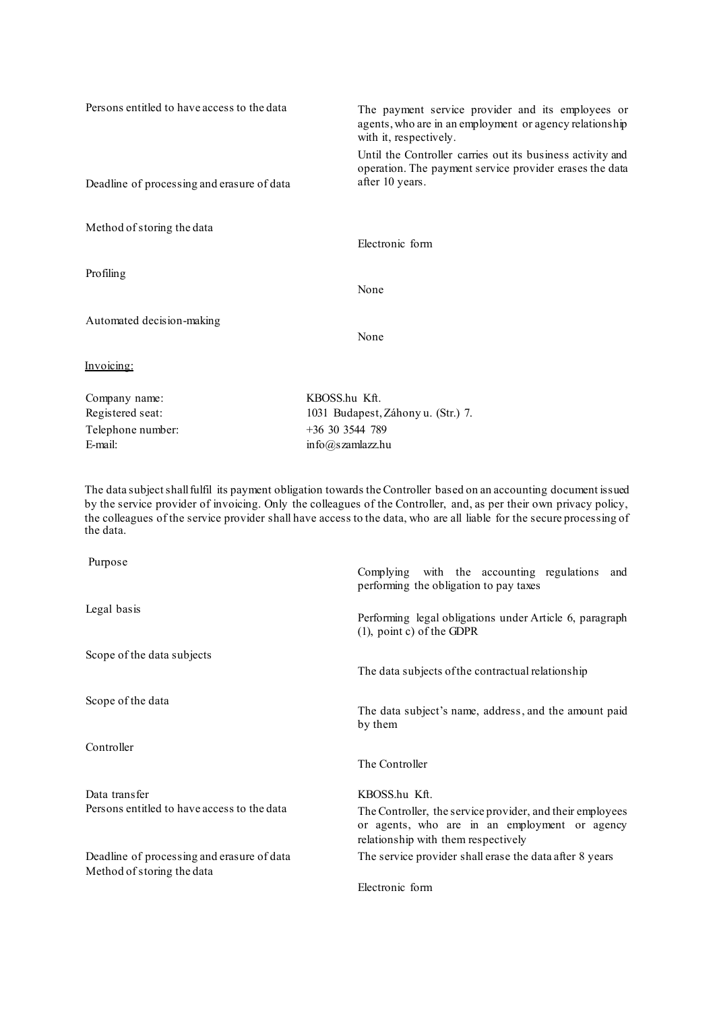| Persons entitled to have access to the data | The payment service provider and its employees or<br>agents, who are in an employment or agency relationship<br>with it, respectively.   |
|---------------------------------------------|------------------------------------------------------------------------------------------------------------------------------------------|
| Deadline of processing and erasure of data  | Until the Controller carries out its business activity and<br>operation. The payment service provider erases the data<br>after 10 years. |
| Method of storing the data                  |                                                                                                                                          |
|                                             | Electronic form                                                                                                                          |
| Profiling                                   |                                                                                                                                          |
|                                             | None                                                                                                                                     |
| Automated decision-making                   |                                                                                                                                          |
|                                             | None                                                                                                                                     |
| Invoicing:                                  |                                                                                                                                          |
| Company name:                               | KBOSS.hu Kft.                                                                                                                            |
| Registered seat:                            | 1031 Budapest, Záhony u. (Str.) 7.                                                                                                       |
| Telephone number:                           | $+36$ 30 3544 789                                                                                                                        |
| E-mail:                                     | info@szamlazz.hu                                                                                                                         |

The data subject shall fulfil its payment obligation towards the Controller based on an accounting document issued by the service provider of invoicing. Only the colleagues of the Controller, and, as per their own privacy policy, the colleagues of the service provider shall have access to the data, who are all liable for the secure processing of the data.

| Purpose                                     | Complying with the accounting regulations<br>and<br>performing the obligation to pay taxes                                                        |
|---------------------------------------------|---------------------------------------------------------------------------------------------------------------------------------------------------|
| Legal basis                                 | Performing legal obligations under Article 6, paragraph<br>$(1)$ , point c) of the GDPR                                                           |
| Scope of the data subjects                  |                                                                                                                                                   |
|                                             | The data subjects of the contractual relationship                                                                                                 |
| Scope of the data                           | The data subject's name, address, and the amount paid<br>by them                                                                                  |
| Controller                                  |                                                                                                                                                   |
|                                             | The Controller                                                                                                                                    |
| Data transfer                               | KBOSS.hu Kft.                                                                                                                                     |
| Persons entitled to have access to the data | The Controller, the service provider, and their employees<br>or agents, who are in an employment or agency<br>relationship with them respectively |
| Deadline of processing and erasure of data  | The service provider shall erase the data after 8 years                                                                                           |
| Method of storing the data                  |                                                                                                                                                   |
|                                             | Electronic form                                                                                                                                   |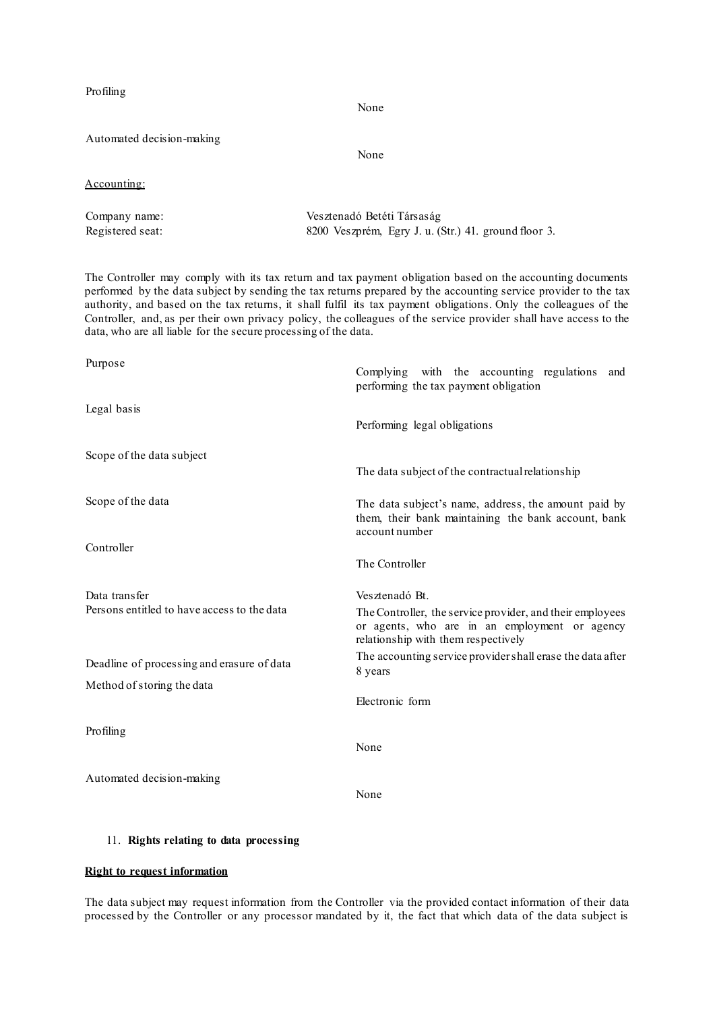| Profiling                 | None                                                 |  |
|---------------------------|------------------------------------------------------|--|
| Automated decision-making | None                                                 |  |
| Accounting:               |                                                      |  |
| Company name:             | Vesztenadó Betéti Társaság                           |  |
| Registered seat:          | 8200 Veszprém, Egry J. u. (Str.) 41. ground floor 3. |  |

The Controller may comply with its tax return and tax payment obligation based on the accounting documents performed by the data subject by sending the tax returns prepared by the accounting service provider to the tax authority, and based on the tax returns, it shall fulfil its tax payment obligations. Only the colleagues of the Controller, and, as per their own privacy policy, the colleagues of the service provider shall have access to the data, who are all liable for the secure processing of the data.

| Purpose                                     | Complying with the accounting regulations<br>and<br>performing the tax payment obligation                                                         |
|---------------------------------------------|---------------------------------------------------------------------------------------------------------------------------------------------------|
| Legal basis                                 | Performing legal obligations                                                                                                                      |
| Scope of the data subject                   |                                                                                                                                                   |
|                                             | The data subject of the contractual relationship                                                                                                  |
| Scope of the data                           | The data subject's name, address, the amount paid by<br>them, their bank maintaining the bank account, bank<br>account number                     |
| Controller                                  |                                                                                                                                                   |
|                                             | The Controller                                                                                                                                    |
| Data transfer                               | Vesztenadó Bt.                                                                                                                                    |
| Persons entitled to have access to the data | The Controller, the service provider, and their employees<br>or agents, who are in an employment or agency<br>relationship with them respectively |
| Deadline of processing and erasure of data  | The accounting service provider shall erase the data after<br>8 years                                                                             |
| Method of storing the data                  |                                                                                                                                                   |
|                                             | Electronic form                                                                                                                                   |
| Profiling                                   |                                                                                                                                                   |
|                                             | None                                                                                                                                              |
| Automated decision-making                   |                                                                                                                                                   |
|                                             | None                                                                                                                                              |

# 11. **Rights relating to data processing**

# **Right to request information**

The data subject may request information from the Controller via the provided contact information of their data processed by the Controller or any processor mandated by it, the fact that which data of the data subject is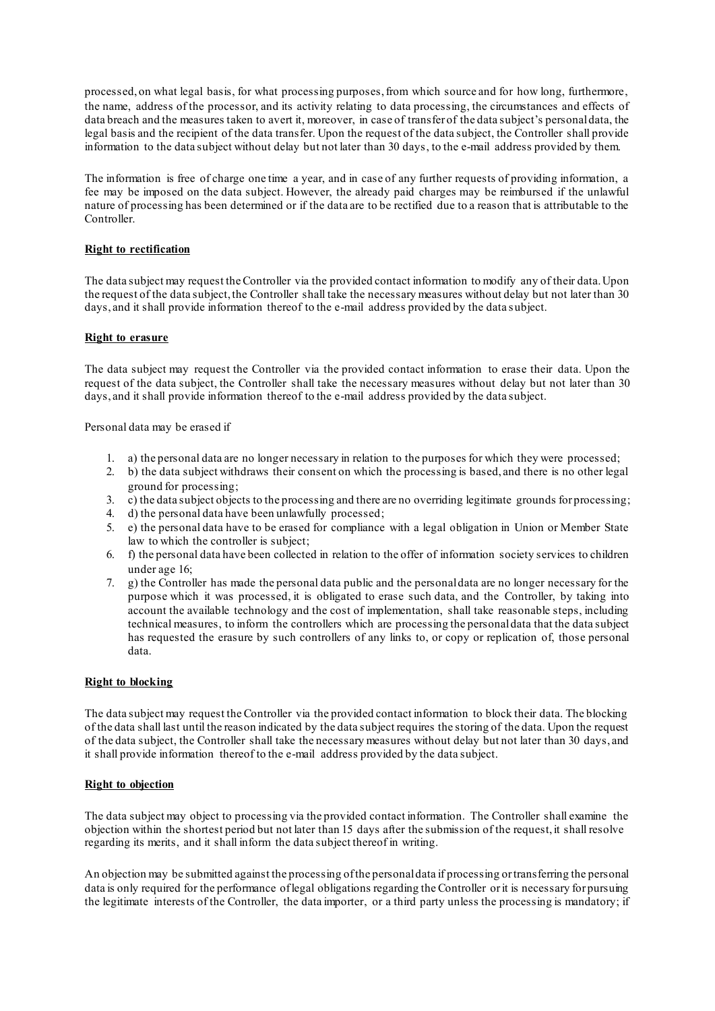processed, on what legal basis, for what processing purposes, from which source and for how long, furthermore, the name, address of the processor, and its activity relating to data processing, the circumstances and effects of data breach and the measures taken to avert it, moreover, in case of transfer of the data subject's personal data, the legal basis and the recipient of the data transfer. Upon the request of the data subject, the Controller shall provide information to the data subject without delay but not later than 30 days, to the e-mail address provided by them.

The information is free of charge one time a year, and in case of any further requests of providing information, a fee may be imposed on the data subject. However, the already paid charges may be reimbursed if the unlawful nature of processing has been determined or if the data are to be rectified due to a reason that is attributable to the Controller.

## **Right to rectification**

The data subject may request the Controller via the provided contact information to modify any of their data. Upon the request of the data subject, the Controller shall take the necessary measures without delay but not later than 30 days, and it shall provide information thereof to the e-mail address provided by the data subject.

#### **[Right](https://static.googleusercontent.com/media/www.google.com/en/intl/hu/policies/privacy/google_privacy_policy_hu.pdf) to erasure**

The data subject may request the Controller via the provided contact information to erase their data. Upon the request of the data subject, the Controller shall take the necessary measures without delay but not later than 30 days, and it shall provide information thereof to the e-mail address provided by the data subject.

Personal data may be erased if

- 1. a) the personal data are no longer necessary in relation to the purposes for which they were processed;
- 2. [b\) the data subject withdraws their consent on which the processing is based, and there is no other legal](https://static.googleusercontent.com/media/www.google.com/en/intl/hu/policies/privacy/google_privacy_policy_hu.pdf)  [ground for processing;](https://static.googleusercontent.com/media/www.google.com/en/intl/hu/policies/privacy/google_privacy_policy_hu.pdf)
- 3. c) the data subject objects to the processing and there are no overriding legitimate grounds for processing;
- 4. d) [the personal data have been unlawfully processed;](https://static.googleusercontent.com/media/www.google.com/en/intl/hu/policies/privacy/google_privacy_policy_hu.pdf)
- 5. [e\) the personal data have to be erased for compliance with a legal obligation in Union or Member State](https://static.googleusercontent.com/media/www.google.com/en/intl/hu/policies/privacy/google_privacy_policy_hu.pdf)  [law to which the controller is subject;](https://static.googleusercontent.com/media/www.google.com/en/intl/hu/policies/privacy/google_privacy_policy_hu.pdf)
- 6. [f\) the personal data have been collected in relation to the offer of information society services](https://static.googleusercontent.com/media/www.google.com/en/intl/hu/policies/privacy/google_privacy_policy_hu.pdf) to children [under age 16;](https://static.googleusercontent.com/media/www.google.com/en/intl/hu/policies/privacy/google_privacy_policy_hu.pdf)
- 7. g) [the Controller has made the personal data public and the personal data are no longer necessary for the](https://static.googleusercontent.com/media/www.google.com/en/intl/hu/policies/privacy/google_privacy_policy_hu.pdf)  [purpose which it was processed, it is obligated to erase such data, and the Controller, by taking into](https://static.googleusercontent.com/media/www.google.com/en/intl/hu/policies/privacy/google_privacy_policy_hu.pdf)  [account the available technology and the cost of implementation, shall take reasonable steps, including](https://static.googleusercontent.com/media/www.google.com/en/intl/hu/policies/privacy/google_privacy_policy_hu.pdf)  technical measures, to inform the controllers [which are processing the personal data that the data subject](https://static.googleusercontent.com/media/www.google.com/en/intl/hu/policies/privacy/google_privacy_policy_hu.pdf)  [has requested the erasure by such controllers of any links to, or copy or replication of, those personal](https://static.googleusercontent.com/media/www.google.com/en/intl/hu/policies/privacy/google_privacy_policy_hu.pdf)  [data.](https://static.googleusercontent.com/media/www.google.com/en/intl/hu/policies/privacy/google_privacy_policy_hu.pdf)

#### **[Right](https://static.googleusercontent.com/media/www.google.com/en/intl/hu/policies/privacy/google_privacy_policy_hu.pdf) to blocking**

The data subject may request the Controller via the provided contact information to block their data. The blocking of the data shall last until the reason indicated by the data subject requires the storing of the data. Upon the request of the data subject, the Controller shall take the necessary measures without delay but not later than 30 days, and it shall provide information thereof to the e-mail address provided by the data subject.

#### **[Right](https://static.googleusercontent.com/media/www.google.com/en/intl/hu/policies/privacy/google_privacy_policy_hu.pdf) to objection**

The data subject may object to processing via the provided contact information. The Controller shall examine the objection within the shortest period but not later than 15 days after the submission of the request, it shall resolve regarding its merits, and it shall inform the data subject thereof in writing.

An objection may be submitted against the processing of the personal data if processing or transferring the personal data is only required for the performance of legal obligations regarding the Controller or it is necessary for pursuing the legitimate interests of the Controller, the data importer, or a third party unless the processing is mandatory; if